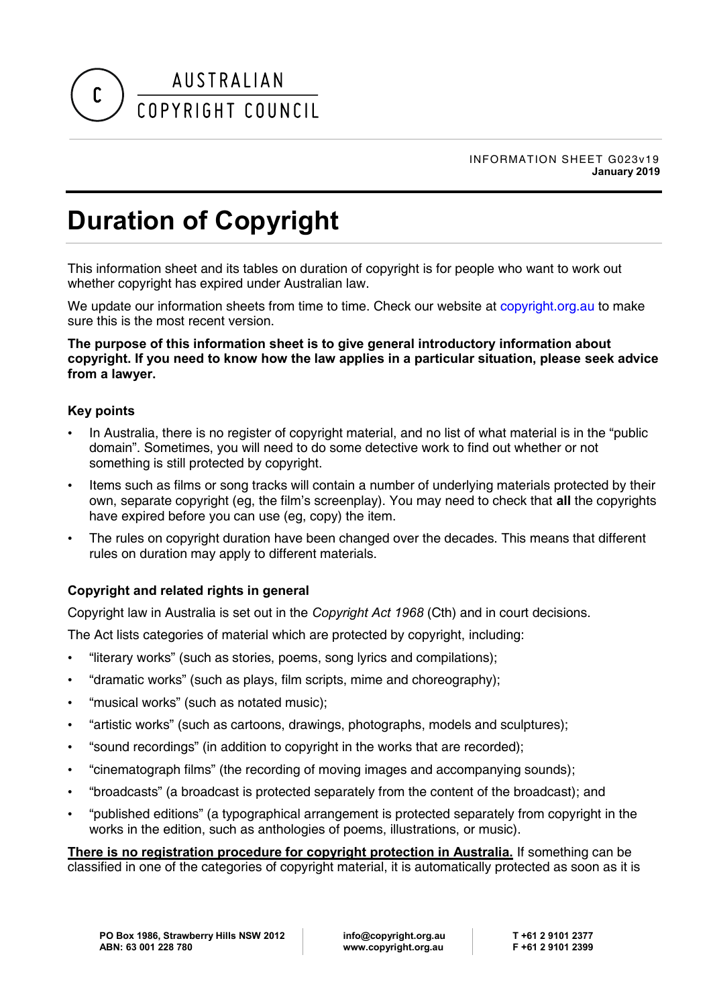

# Duration of Copyright

This information sheet and its tables on duration of copyright is for people who want to work out whether copyright has expired under Australian law.

We update our information sheets from time to time. Check our website at [copyright.org.au](http://www.copyright.org.au/) to make sure this is the most recent version.

#### The purpose of this information sheet is to give general introductory information about copyright. If you need to know how the law applies in a particular situation, please seek advice from a lawyer.

# Key points

- In Australia, there is no register of copyright material, and no list of what material is in the "public domain". Sometimes, you will need to do some detective work to find out whether or not something is still protected by copyright.
- Items such as films or song tracks will contain a number of underlying materials protected by their own, separate copyright (eg, the film's screenplay). You may need to check that all the copyrights have expired before you can use (eg, copy) the item.
- The rules on copyright duration have been changed over the decades. This means that different rules on duration may apply to different materials.

# Copyright and related rights in general

Copyright law in Australia is set out in the *Copyright Act 1968* (Cth) and in court decisions.

The Act lists categories of material which are protected by copyright, including:

- "literary works" (such as stories, poems, song lyrics and compilations);
- "dramatic works" (such as plays, film scripts, mime and choreography);
- "musical works" (such as notated music);
- "artistic works" (such as cartoons, drawings, photographs, models and sculptures);
- "sound recordings" (in addition to copyright in the works that are recorded);
- "cinematograph films" (the recording of moving images and accompanying sounds);
- "broadcasts" (a broadcast is protected separately from the content of the broadcast); and
- "published editions" (a typographical arrangement is protected separately from copyright in the works in the edition, such as anthologies of poems, illustrations, or music).

There is no registration procedure for copyright protection in Australia. If something can be classified in one of the categories of copyright material, it is automatically protected as soon as it is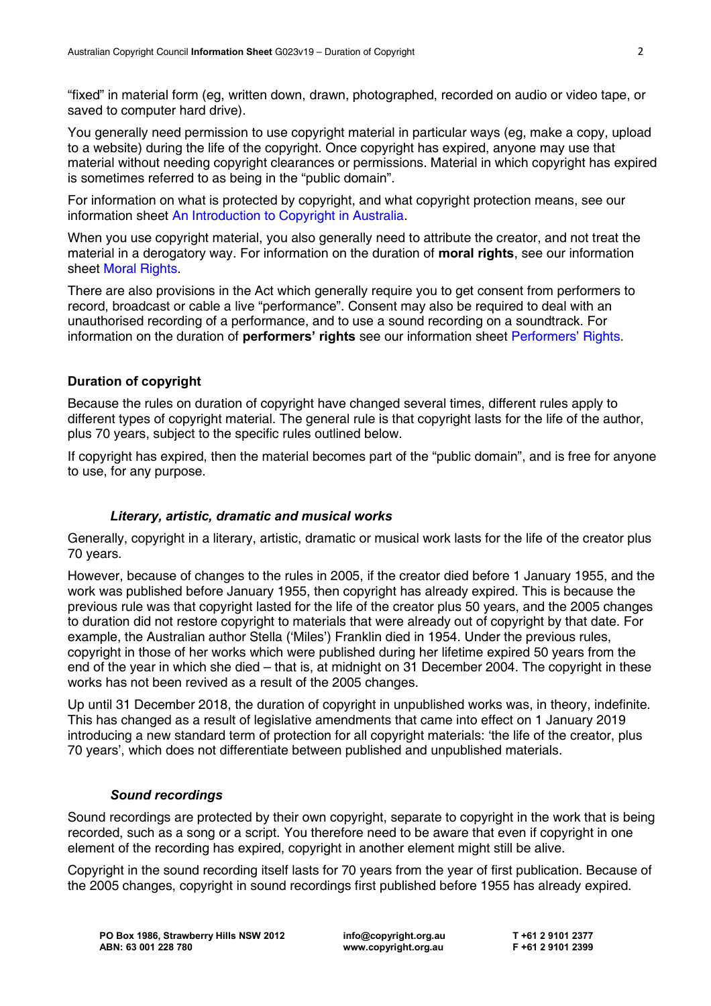"fixed" in material form (eg, written down, drawn, photographed, recorded on audio or video tape, or saved to computer hard drive).

You generally need permission to use copyright material in particular ways (eg, make a copy, upload to a website) during the life of the copyright. Once copyright has expired, anyone may use that material without needing copyright clearances or permissions. Material in which copyright has expired is sometimes referred to as being in the "public domain".

For information on what is protected by copyright, and what copyright protection means, see our information sheet [An Introduction to Copyright in Australia.](http://www.copyright.org.au/acc_prod/ACC/Information_Sheets/An_Introduction_to_Copyright_in_Australia.aspx)

When you use copyright material, you also generally need to attribute the creator, and not treat the material in a derogatory way. For information on the duration of **moral rights**, see our information sheet [Moral Rights.](http://www.copyright.org.au/acc_prod/ACC/Information_Sheets/Moral_Rights.aspx)

There are also provisions in the Act which generally require you to get consent from performers to record, broadcast or cable a live "performance". Consent may also be required to deal with an unauthorised recording of a performance, and to use a sound recording on a soundtrack. For information on the duration of performers' rights see our information sheet [Performers' Rights](http://www.copyright.org.au/acc_prod/ACC/Information_Sheets/Performers__Rights.aspx).

# Duration of copyright

Because the rules on duration of copyright have changed several times, different rules apply to different types of copyright material. The general rule is that copyright lasts for the life of the author, plus 70 years, subject to the specific rules outlined below.

If copyright has expired, then the material becomes part of the "public domain", and is free for anyone to use, for any purpose.

# *Literary, artistic, dramatic and musical works*

Generally, copyright in a literary, artistic, dramatic or musical work lasts for the life of the creator plus 70 years.

However, because of changes to the rules in 2005, if the creator died before 1 January 1955, and the work was published before January 1955, then copyright has already expired. This is because the previous rule was that copyright lasted for the life of the creator plus 50 years, and the 2005 changes to duration did not restore copyright to materials that were already out of copyright by that date. For example, the Australian author Stella ('Miles') Franklin died in 1954. Under the previous rules, copyright in those of her works which were published during her lifetime expired 50 years from the end of the year in which she died – that is, at midnight on 31 December 2004. The copyright in these works has not been revived as a result of the 2005 changes.

Up until 31 December 2018, the duration of copyright in unpublished works was, in theory, indefinite. This has changed as a result of legislative amendments that came into effect on 1 January 2019 introducing a new standard term of protection for all copyright materials: 'the life of the creator, plus 70 years', which does not differentiate between published and unpublished materials.

# *Sound recordings*

Sound recordings are protected by their own copyright, separate to copyright in the work that is being recorded, such as a song or a script. You therefore need to be aware that even if copyright in one element of the recording has expired, copyright in another element might still be alive.

Copyright in the sound recording itself lasts for 70 years from the year of first publication. Because of the 2005 changes, copyright in sound recordings first published before 1955 has already expired.

info@copyright.org.au www.copyright.org.au

T +61 2 9101 2377 F +61 2 9101 2399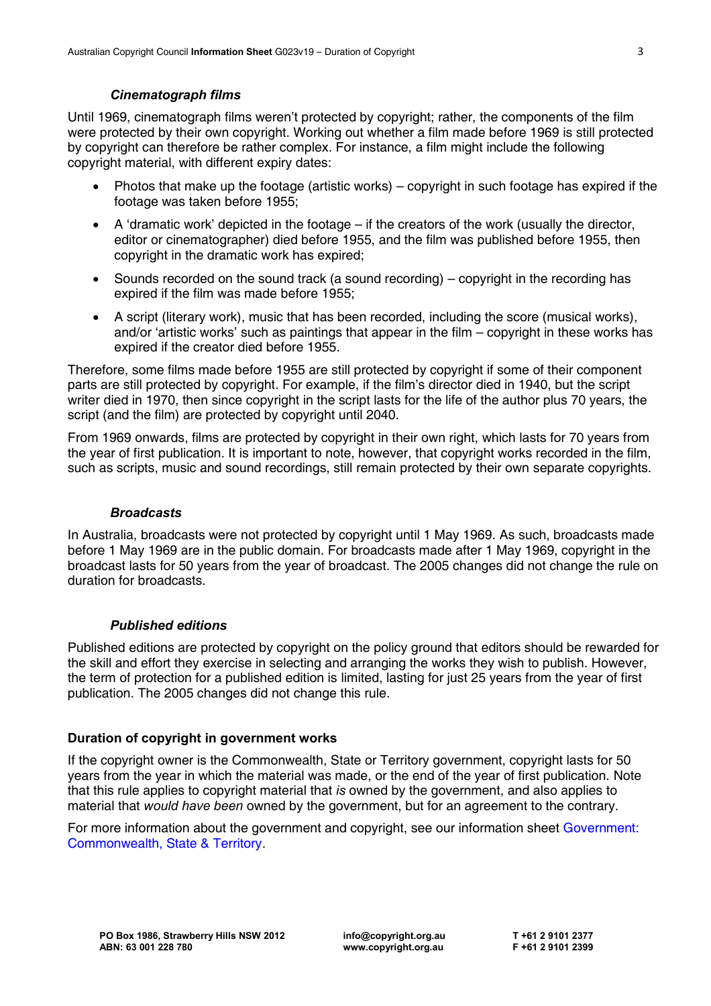#### *Cinematograph films*

Until 1969, cinematograph films weren't protected by copyright; rather, the components of the film were protected by their own copyright. Working out whether a film made before 1969 is still protected by copyright can therefore be rather complex. For instance, a film might include the following copyright material, with different expiry dates:

- Photos that make up the footage (artistic works) copyright in such footage has expired if the footage was taken before 1955;
- A 'dramatic work' depicted in the footage if the creators of the work (usually the director, editor or cinematographer) died before 1955, and the film was published before 1955, then copyright in the dramatic work has expired;
- Sounds recorded on the sound track (a sound recording) copyright in the recording has expired if the film was made before 1955;
- A script (literary work), music that has been recorded, including the score (musical works), and/or 'artistic works' such as paintings that appear in the film – copyright in these works has expired if the creator died before 1955.

Therefore, some films made before 1955 are still protected by copyright if some of their component parts are still protected by copyright. For example, if the film's director died in 1940, but the script writer died in 1970, then since copyright in the script lasts for the life of the author plus 70 years, the script (and the film) are protected by copyright until 2040.

From 1969 onwards, films are protected by copyright in their own right, which lasts for 70 years from the year of first publication. It is important to note, however, that copyright works recorded in the film, such as scripts, music and sound recordings, still remain protected by their own separate copyrights.

#### *Broadcasts*

In Australia, broadcasts were not protected by copyright until 1 May 1969. As such, broadcasts made before 1 May 1969 are in the public domain. For broadcasts made after 1 May 1969, copyright in the broadcast lasts for 50 years from the year of broadcast. The 2005 changes did not change the rule on duration for broadcasts.

# *Published editions*

Published editions are protected by copyright on the policy ground that editors should be rewarded for the skill and effort they exercise in selecting and arranging the works they wish to publish. However, the term of protection for a published edition is limited, lasting for just 25 years from the year of first publication. The 2005 changes did not change this rule.

# Duration of copyright in government works

If the copyright owner is the Commonwealth, State or Territory government, copyright lasts for 50 years from the year in which the material was made, or the end of the year of first publication. Note that this rule applies to copyright material that *is* owned by the government, and also applies to material that *would have been* owned by the government, but for an agreement to the contrary.

For more information about the government and copyright, see our information sheet [Government:](http://www.copyright.org.au/acc_prod/ACC/Information_Sheets/Government__Commonwealth__State___Territory.aspx)  [Commonwealth, State & Territory.](http://www.copyright.org.au/acc_prod/ACC/Information_Sheets/Government__Commonwealth__State___Territory.aspx)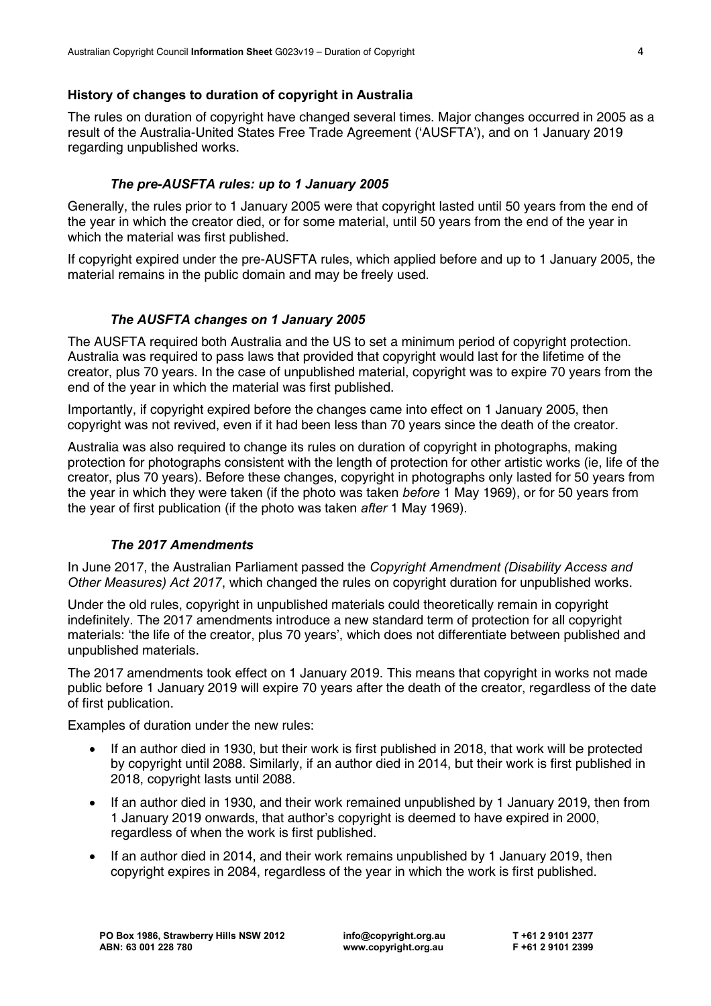#### History of changes to duration of copyright in Australia

The rules on duration of copyright have changed several times. Major changes occurred in 2005 as a result of the Australia-United States Free Trade Agreement ('AUSFTA'), and on 1 January 2019 regarding unpublished works.

#### *The pre-AUSFTA rules: up to 1 January 2005*

Generally, the rules prior to 1 January 2005 were that copyright lasted until 50 years from the end of the year in which the creator died, or for some material, until 50 years from the end of the year in which the material was first published.

If copyright expired under the pre-AUSFTA rules, which applied before and up to 1 January 2005, the material remains in the public domain and may be freely used.

# *The AUSFTA changes on 1 January 2005*

The AUSFTA required both Australia and the US to set a minimum period of copyright protection. Australia was required to pass laws that provided that copyright would last for the lifetime of the creator, plus 70 years. In the case of unpublished material, copyright was to expire 70 years from the end of the year in which the material was first published.

Importantly, if copyright expired before the changes came into effect on 1 January 2005, then copyright was not revived, even if it had been less than 70 years since the death of the creator.

Australia was also required to change its rules on duration of copyright in photographs, making protection for photographs consistent with the length of protection for other artistic works (ie, life of the creator, plus 70 years). Before these changes, copyright in photographs only lasted for 50 years from the year in which they were taken (if the photo was taken *before* 1 May 1969), or for 50 years from the year of first publication (if the photo was taken *after* 1 May 1969).

#### *The 2017 Amendments*

In June 2017, the Australian Parliament passed the *Copyright Amendment (Disability Access and Other Measures) Act 2017*, which changed the rules on copyright duration for unpublished works.

Under the old rules, copyright in unpublished materials could theoretically remain in copyright indefinitely. The 2017 amendments introduce a new standard term of protection for all copyright materials: 'the life of the creator, plus 70 years', which does not differentiate between published and unpublished materials.

The 2017 amendments took effect on 1 January 2019. This means that copyright in works not made public before 1 January 2019 will expire 70 years after the death of the creator, regardless of the date of first publication.

Examples of duration under the new rules:

- If an author died in 1930, but their work is first published in 2018, that work will be protected by copyright until 2088. Similarly, if an author died in 2014, but their work is first published in 2018, copyright lasts until 2088.
- If an author died in 1930, and their work remained unpublished by 1 January 2019, then from 1 January 2019 onwards, that author's copyright is deemed to have expired in 2000, regardless of when the work is first published.
- If an author died in 2014, and their work remains unpublished by 1 January 2019, then copyright expires in 2084, regardless of the year in which the work is first published.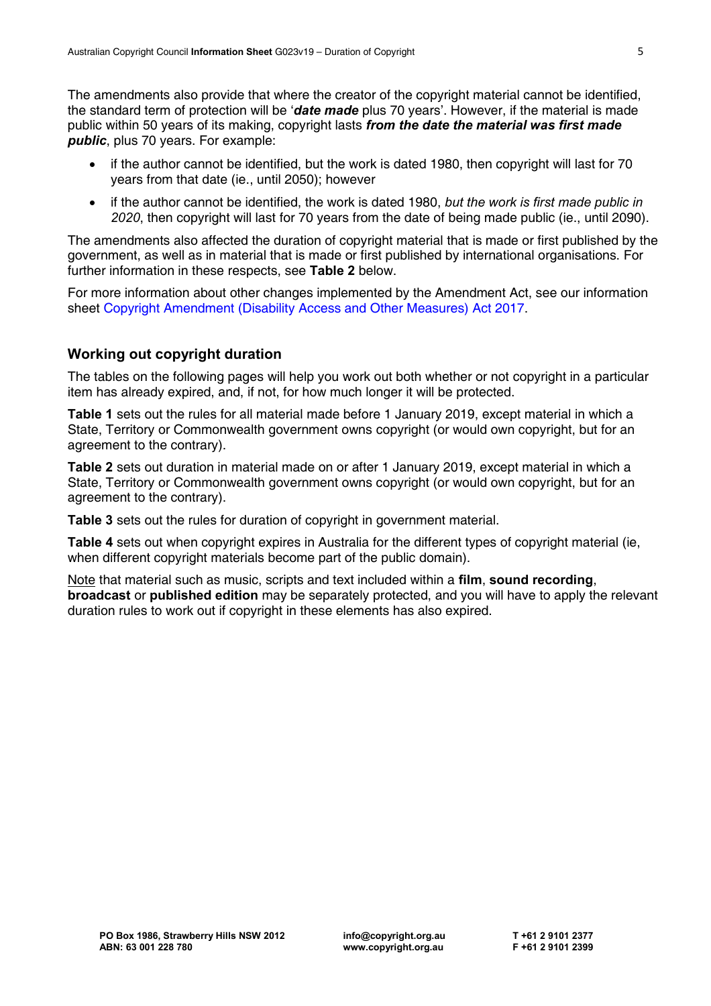The amendments also provide that where the creator of the copyright material cannot be identified, the standard term of protection will be '*date made* plus 70 years'. However, if the material is made public within 50 years of its making, copyright lasts *from the date the material was first made public*, plus 70 years. For example:

- if the author cannot be identified, but the work is dated 1980, then copyright will last for 70 years from that date (ie., until 2050); however
- if the author cannot be identified, the work is dated 1980, *but the work is first made public in 2020*, then copyright will last for 70 years from the date of being made public (ie., until 2090).

The amendments also affected the duration of copyright material that is made or first published by the government, as well as in material that is made or first published by international organisations. For further information in these respects, see Table 2 below.

For more information about other changes implemented by the Amendment Act, see our information sheet [Copyright Amendment \(Disability Access and Other Measures\) Act 2017.](http://www.copyright.org.au/acc_prod/ACC/Information_Sheets/Copyright_Amendment_Act_2017.aspx)

# Working out copyright duration

The tables on the following pages will help you work out both whether or not copyright in a particular item has already expired, and, if not, for how much longer it will be protected.

Table 1 sets out the rules for all material made before 1 January 2019, except material in which a State, Territory or Commonwealth government owns copyright (or would own copyright, but for an agreement to the contrary).

Table 2 sets out duration in material made on or after 1 January 2019, except material in which a State, Territory or Commonwealth government owns copyright (or would own copyright, but for an agreement to the contrary).

Table 3 sets out the rules for duration of copyright in government material.

Table 4 sets out when copyright expires in Australia for the different types of copyright material (ie, when different copyright materials become part of the public domain).

Note that material such as music, scripts and text included within a film, sound recording, broadcast or published edition may be separately protected, and you will have to apply the relevant duration rules to work out if copyright in these elements has also expired.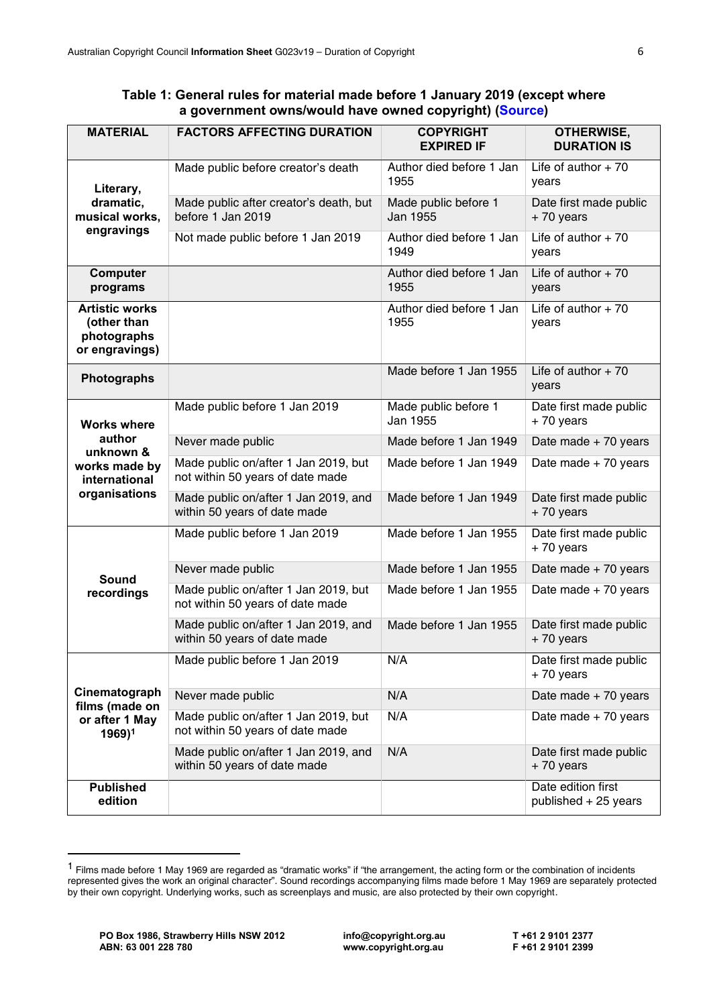# Table 1: General rules for material made before 1 January 2019 (except where a government owns/would have owned copyright) [\(Source\)](http://parlinfo.aph.gov.au/parlInfo/download/legislation/ems/r5832_ems_6286f247-9092-48bd-aac1-d771a2c7ee30/upload_pdf/625196.pdf;fileType=application%2Fpdf)

| <b>MATERIAL</b>                                                                              | <b>FACTORS AFFECTING DURATION</b>                                        | <b>COPYRIGHT</b><br><b>EXPIRED IF</b> | <b>OTHERWISE,</b><br><b>DURATION IS</b>    |
|----------------------------------------------------------------------------------------------|--------------------------------------------------------------------------|---------------------------------------|--------------------------------------------|
| Literary,<br>dramatic,<br>musical works,<br>engravings                                       | Made public before creator's death                                       | Author died before 1 Jan<br>1955      | Life of author $+70$<br>years              |
|                                                                                              | Made public after creator's death, but<br>before 1 Jan 2019              | Made public before 1<br>Jan 1955      | Date first made public<br>$+70$ years      |
|                                                                                              | Not made public before 1 Jan 2019                                        | Author died before 1 Jan<br>1949      | Life of author $+70$<br>years              |
| <b>Computer</b><br>programs                                                                  |                                                                          | Author died before 1 Jan<br>1955      | Life of author $+70$<br>years              |
| <b>Artistic works</b><br>(other than<br>photographs<br>or engravings)                        |                                                                          | Author died before 1 Jan<br>1955      | Life of author $+70$<br>years              |
| Photographs                                                                                  |                                                                          | Made before 1 Jan 1955                | Life of author $+70$<br>years              |
| <b>Works where</b><br>author<br>unknown &<br>works made by<br>international<br>organisations | Made public before 1 Jan 2019                                            | Made public before 1<br>Jan 1955      | Date first made public<br>$+70$ years      |
|                                                                                              | Never made public                                                        | Made before 1 Jan 1949                | Date made + 70 years                       |
|                                                                                              | Made public on/after 1 Jan 2019, but<br>not within 50 years of date made | Made before 1 Jan 1949                | Date made + 70 years                       |
|                                                                                              | Made public on/after 1 Jan 2019, and<br>within 50 years of date made     | Made before 1 Jan 1949                | Date first made public<br>$+70$ years      |
|                                                                                              | Made public before 1 Jan 2019                                            | Made before 1 Jan 1955                | Date first made public<br>$+70$ years      |
| <b>Sound</b>                                                                                 | Never made public                                                        | Made before 1 Jan 1955                | Date made + 70 years                       |
| recordings                                                                                   | Made public on/after 1 Jan 2019, but<br>not within 50 years of date made | Made before 1 Jan 1955                | Date made + 70 years                       |
|                                                                                              | Made public on/after 1 Jan 2019, and<br>within 50 years of date made     | Made before 1 Jan 1955                | Date first made public<br>$+70$ years      |
| Cinematograph<br>films (made on<br>or after 1 May<br>$1969$ <sup>1</sup>                     | Made public before 1 Jan 2019                                            | N/A                                   | Date first made public<br>$+70$ years      |
|                                                                                              | Never made public                                                        | N/A                                   | Date made + 70 years                       |
|                                                                                              | Made public on/after 1 Jan 2019, but<br>not within 50 years of date made | N/A                                   | Date made + 70 years                       |
|                                                                                              | Made public on/after 1 Jan 2019, and<br>within 50 years of date made     | N/A                                   | Date first made public<br>$+70$ years      |
| <b>Published</b><br>edition                                                                  |                                                                          |                                       | Date edition first<br>published + 25 years |

<sup>&</sup>lt;sup>1</sup> Films made before 1 May 1969 are regarded as "dramatic works" if "the arrangement, the acting form or the combination of incidents represented gives the work an original character". Sound recordings accompanying films made before 1 May 1969 are separately protected by their own copyright. Underlying works, such as screenplays and music, are also protected by their own copyright.

 $\overline{a}$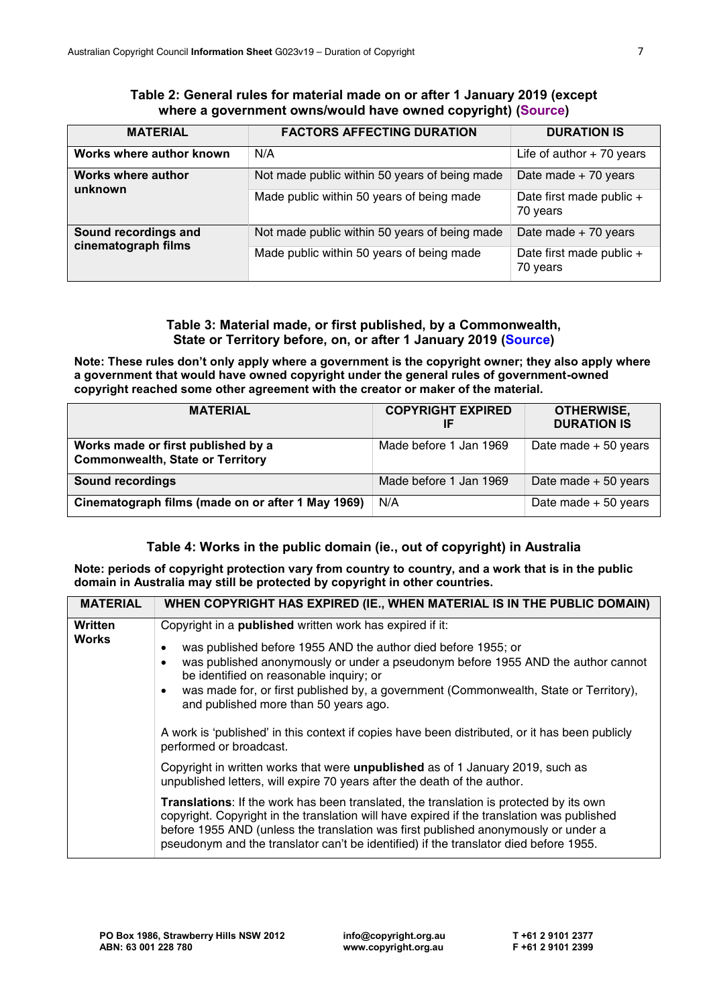| <b>MATERIAL</b>                             | <b>FACTORS AFFECTING DURATION</b>             | <b>DURATION IS</b>                   |
|---------------------------------------------|-----------------------------------------------|--------------------------------------|
| Works where author known                    | N/A                                           | Life of author $+70$ years           |
| Works where author<br>unknown               | Not made public within 50 years of being made | Date made $+ 70$ years               |
|                                             | Made public within 50 years of being made     | Date first made public +<br>70 years |
| Sound recordings and<br>cinematograph films | Not made public within 50 years of being made | Date made $+70$ years                |
|                                             | Made public within 50 years of being made     | Date first made public +<br>70 years |

#### Table 2: General rules for material made on or after 1 January 2019 (except where a government owns/would have owned copyright) **[\(Source\)](http://parlinfo.aph.gov.au/parlInfo/download/legislation/ems/r5832_ems_6286f247-9092-48bd-aac1-d771a2c7ee30/upload_pdf/625196.pdf;fileType=application%2Fpdf)**

#### Table 3: Material made, or first published, by a Commonwealth, State or Territory before, on, or after 1 January 2019 **[\(Source\)](http://parlinfo.aph.gov.au/parlInfo/download/legislation/ems/r5832_ems_6286f247-9092-48bd-aac1-d771a2c7ee30/upload_pdf/625196.pdf;fileType=application%2Fpdf)**

Note: These rules don't only apply where a government is the copyright owner; they also apply where a government that would have owned copyright under the general rules of government-owned copyright reached some other agreement with the creator or maker of the material.

| <b>MATERIAL</b>                                                               | <b>COPYRIGHT EXPIRED</b> | <b>OTHERWISE,</b><br><b>DURATION IS</b> |
|-------------------------------------------------------------------------------|--------------------------|-----------------------------------------|
| Works made or first published by a<br><b>Commonwealth, State or Territory</b> | Made before 1 Jan 1969   | Date made $+50$ years                   |
| <b>Sound recordings</b>                                                       | Made before 1 Jan 1969   | Date made $+50$ years                   |
| Cinematograph films (made on or after 1 May 1969)                             | N/A                      | Date made $+50$ years                   |

# Table 4: Works in the public domain (ie., out of copyright) in Australia

Note: periods of copyright protection vary from country to country, and a work that is in the public domain in Australia may still be protected by copyright in other countries.

| <b>MATERIAL</b>                                                                                                                      | WHEN COPYRIGHT HAS EXPIRED (IE., WHEN MATERIAL IS IN THE PUBLIC DOMAIN)                                                                                                                                                                                                                                                                                             |
|--------------------------------------------------------------------------------------------------------------------------------------|---------------------------------------------------------------------------------------------------------------------------------------------------------------------------------------------------------------------------------------------------------------------------------------------------------------------------------------------------------------------|
| Written<br>Works<br>be identified on reasonable inquiry; or<br>٠<br>and published more than 50 years ago.<br>performed or broadcast. | Copyright in a <b>published</b> written work has expired if it:<br>was published before 1955 AND the author died before 1955; or<br>was published anonymously or under a pseudonym before 1955 AND the author cannot<br>was made for, or first published by, a government (Commonwealth, State or Territory),                                                       |
|                                                                                                                                      | A work is 'published' in this context if copies have been distributed, or it has been publicly                                                                                                                                                                                                                                                                      |
|                                                                                                                                      | Copyright in written works that were unpublished as of 1 January 2019, such as<br>unpublished letters, will expire 70 years after the death of the author.                                                                                                                                                                                                          |
|                                                                                                                                      | Translations: If the work has been translated, the translation is protected by its own<br>copyright. Copyright in the translation will have expired if the translation was published<br>before 1955 AND (unless the translation was first published anonymously or under a<br>pseudonym and the translator can't be identified) if the translator died before 1955. |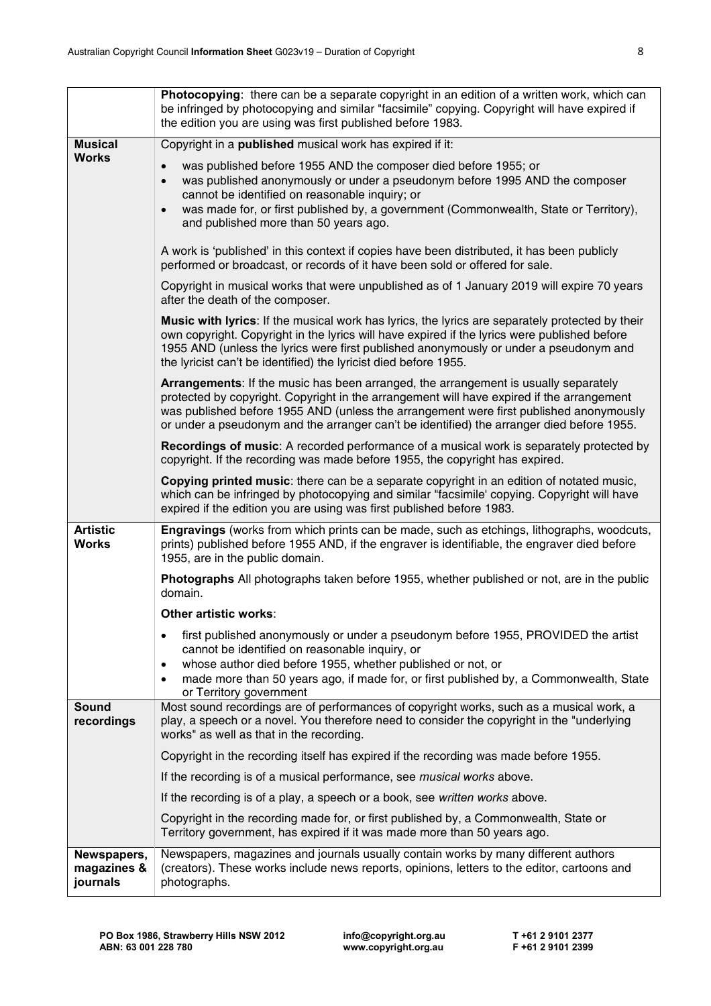|                                        | Photocopying: there can be a separate copyright in an edition of a written work, which can<br>be infringed by photocopying and similar "facsimile" copying. Copyright will have expired if<br>the edition you are using was first published before 1983.                                                                                                                  |
|----------------------------------------|---------------------------------------------------------------------------------------------------------------------------------------------------------------------------------------------------------------------------------------------------------------------------------------------------------------------------------------------------------------------------|
| <b>Musical</b>                         | Copyright in a published musical work has expired if it:                                                                                                                                                                                                                                                                                                                  |
| <b>Works</b>                           | was published before 1955 AND the composer died before 1955; or<br>$\bullet$<br>was published anonymously or under a pseudonym before 1995 AND the composer<br>$\bullet$<br>cannot be identified on reasonable inquiry; or<br>was made for, or first published by, a government (Commonwealth, State or Territory),<br>$\bullet$<br>and published more than 50 years ago. |
|                                        | A work is 'published' in this context if copies have been distributed, it has been publicly<br>performed or broadcast, or records of it have been sold or offered for sale.                                                                                                                                                                                               |
|                                        | Copyright in musical works that were unpublished as of 1 January 2019 will expire 70 years<br>after the death of the composer.                                                                                                                                                                                                                                            |
|                                        | Music with lyrics: If the musical work has lyrics, the lyrics are separately protected by their<br>own copyright. Copyright in the lyrics will have expired if the lyrics were published before<br>1955 AND (unless the lyrics were first published anonymously or under a pseudonym and<br>the lyricist can't be identified) the lyricist died before 1955.              |
|                                        | Arrangements: If the music has been arranged, the arrangement is usually separately<br>protected by copyright. Copyright in the arrangement will have expired if the arrangement<br>was published before 1955 AND (unless the arrangement were first published anonymously<br>or under a pseudonym and the arranger can't be identified) the arranger died before 1955.   |
|                                        | Recordings of music: A recorded performance of a musical work is separately protected by<br>copyright. If the recording was made before 1955, the copyright has expired.                                                                                                                                                                                                  |
|                                        | Copying printed music: there can be a separate copyright in an edition of notated music,<br>which can be infringed by photocopying and similar "facsimile' copying. Copyright will have<br>expired if the edition you are using was first published before 1983.                                                                                                          |
| <b>Artistic</b><br><b>Works</b>        | Engravings (works from which prints can be made, such as etchings, lithographs, woodcuts,<br>prints) published before 1955 AND, if the engraver is identifiable, the engraver died before<br>1955, are in the public domain.                                                                                                                                              |
|                                        | Photographs All photographs taken before 1955, whether published or not, are in the public<br>domain.                                                                                                                                                                                                                                                                     |
|                                        | Other artistic works:                                                                                                                                                                                                                                                                                                                                                     |
|                                        | first published anonymously or under a pseudonym before 1955, PROVIDED the artist<br>$\bullet$<br>cannot be identified on reasonable inquiry, or<br>whose author died before 1955, whether published or not, or<br>$\bullet$                                                                                                                                              |
|                                        | made more than 50 years ago, if made for, or first published by, a Commonwealth, State<br>$\bullet$<br>or Territory government                                                                                                                                                                                                                                            |
| <b>Sound</b><br>recordings             | Most sound recordings are of performances of copyright works, such as a musical work, a<br>play, a speech or a novel. You therefore need to consider the copyright in the "underlying<br>works" as well as that in the recording.                                                                                                                                         |
|                                        | Copyright in the recording itself has expired if the recording was made before 1955.                                                                                                                                                                                                                                                                                      |
|                                        | If the recording is of a musical performance, see musical works above.                                                                                                                                                                                                                                                                                                    |
|                                        | If the recording is of a play, a speech or a book, see written works above.                                                                                                                                                                                                                                                                                               |
|                                        | Copyright in the recording made for, or first published by, a Commonwealth, State or<br>Territory government, has expired if it was made more than 50 years ago.                                                                                                                                                                                                          |
| Newspapers,<br>magazines &<br>journals | Newspapers, magazines and journals usually contain works by many different authors<br>(creators). These works include news reports, opinions, letters to the editor, cartoons and<br>photographs.                                                                                                                                                                         |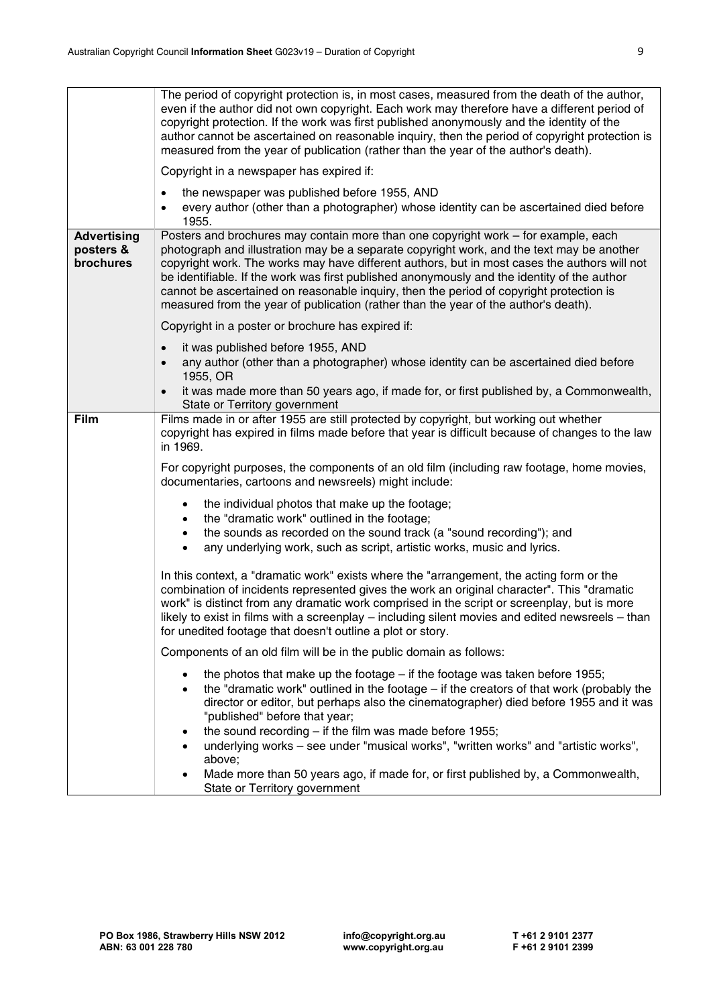|                                              | The period of copyright protection is, in most cases, measured from the death of the author,<br>even if the author did not own copyright. Each work may therefore have a different period of<br>copyright protection. If the work was first published anonymously and the identity of the<br>author cannot be ascertained on reasonable inquiry, then the period of copyright protection is<br>measured from the year of publication (rather than the year of the author's death).                                                                               |
|----------------------------------------------|------------------------------------------------------------------------------------------------------------------------------------------------------------------------------------------------------------------------------------------------------------------------------------------------------------------------------------------------------------------------------------------------------------------------------------------------------------------------------------------------------------------------------------------------------------------|
|                                              | Copyright in a newspaper has expired if:                                                                                                                                                                                                                                                                                                                                                                                                                                                                                                                         |
|                                              | the newspaper was published before 1955, AND<br>$\bullet$<br>every author (other than a photographer) whose identity can be ascertained died before<br>1955.                                                                                                                                                                                                                                                                                                                                                                                                     |
| <b>Advertising</b><br>posters &<br>brochures | Posters and brochures may contain more than one copyright work - for example, each<br>photograph and illustration may be a separate copyright work, and the text may be another<br>copyright work. The works may have different authors, but in most cases the authors will not<br>be identifiable. If the work was first published anonymously and the identity of the author<br>cannot be ascertained on reasonable inquiry, then the period of copyright protection is<br>measured from the year of publication (rather than the year of the author's death). |
|                                              | Copyright in a poster or brochure has expired if:                                                                                                                                                                                                                                                                                                                                                                                                                                                                                                                |
|                                              | it was published before 1955, AND<br>$\bullet$<br>any author (other than a photographer) whose identity can be ascertained died before<br>$\bullet$<br>1955, OR                                                                                                                                                                                                                                                                                                                                                                                                  |
|                                              | it was made more than 50 years ago, if made for, or first published by, a Commonwealth,<br>$\bullet$<br>State or Territory government                                                                                                                                                                                                                                                                                                                                                                                                                            |
| Film                                         | Films made in or after 1955 are still protected by copyright, but working out whether<br>copyright has expired in films made before that year is difficult because of changes to the law<br>in 1969.                                                                                                                                                                                                                                                                                                                                                             |
|                                              | For copyright purposes, the components of an old film (including raw footage, home movies,<br>documentaries, cartoons and newsreels) might include:                                                                                                                                                                                                                                                                                                                                                                                                              |
|                                              | the individual photos that make up the footage;<br>$\bullet$<br>the "dramatic work" outlined in the footage;<br>٠<br>the sounds as recorded on the sound track (a "sound recording"); and<br>$\bullet$<br>any underlying work, such as script, artistic works, music and lyrics.<br>$\bullet$                                                                                                                                                                                                                                                                    |
|                                              | In this context, a "dramatic work" exists where the "arrangement, the acting form or the<br>combination of incidents represented gives the work an original character". This "dramatic<br>work" is distinct from any dramatic work comprised in the script or screenplay, but is more<br>likely to exist in films with a screenplay - including silent movies and edited newsreels - than<br>for unedited footage that doesn't outline a plot or story.                                                                                                          |
|                                              | Components of an old film will be in the public domain as follows:                                                                                                                                                                                                                                                                                                                                                                                                                                                                                               |
|                                              | the photos that make up the footage $-$ if the footage was taken before 1955;<br>the "dramatic work" outlined in the footage – if the creators of that work (probably the<br>director or editor, but perhaps also the cinematographer) died before 1955 and it was<br>"published" before that year;                                                                                                                                                                                                                                                              |
|                                              | the sound recording $-$ if the film was made before 1955;<br>underlying works - see under "musical works", "written works" and "artistic works",                                                                                                                                                                                                                                                                                                                                                                                                                 |
|                                              | above;<br>Made more than 50 years ago, if made for, or first published by, a Commonwealth,<br>State or Territory government                                                                                                                                                                                                                                                                                                                                                                                                                                      |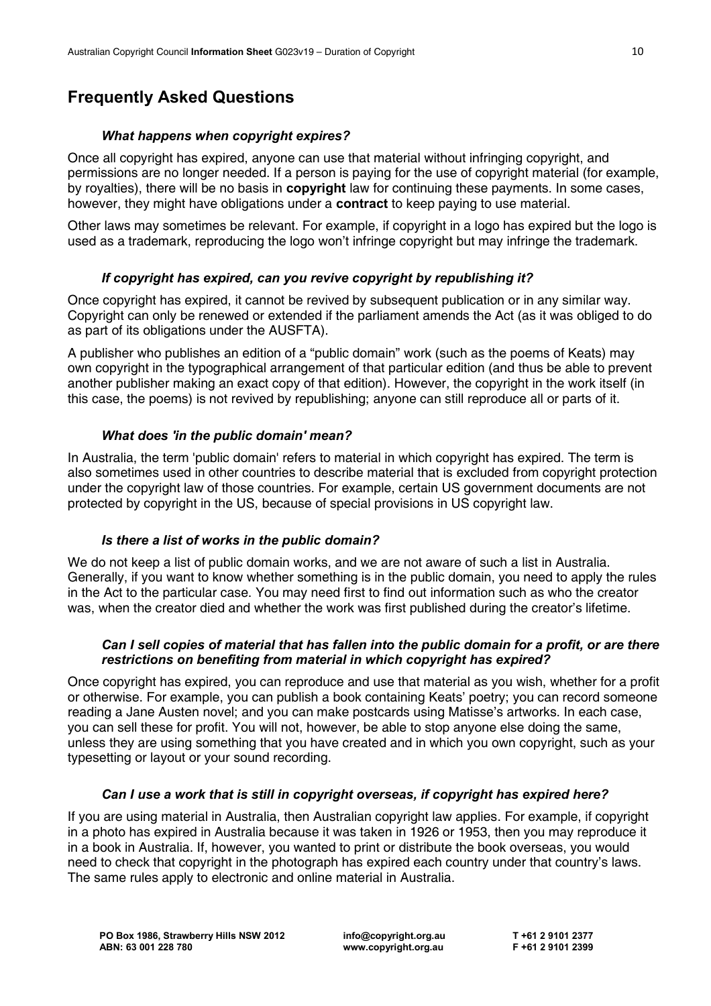# Frequently Asked Questions

# *What happens when copyright expires?*

Once all copyright has expired, anyone can use that material without infringing copyright, and permissions are no longer needed. If a person is paying for the use of copyright material (for example, by royalties), there will be no basis in copyright law for continuing these payments. In some cases, however, they might have obligations under a **contract** to keep paying to use material.

Other laws may sometimes be relevant. For example, if copyright in a logo has expired but the logo is used as a trademark, reproducing the logo won't infringe copyright but may infringe the trademark.

# *If copyright has expired, can you revive copyright by republishing it?*

Once copyright has expired, it cannot be revived by subsequent publication or in any similar way. Copyright can only be renewed or extended if the parliament amends the Act (as it was obliged to do as part of its obligations under the AUSFTA).

A publisher who publishes an edition of a "public domain" work (such as the poems of Keats) may own copyright in the typographical arrangement of that particular edition (and thus be able to prevent another publisher making an exact copy of that edition). However, the copyright in the work itself (in this case, the poems) is not revived by republishing; anyone can still reproduce all or parts of it.

# *What does 'in the public domain' mean?*

In Australia, the term 'public domain' refers to material in which copyright has expired. The term is also sometimes used in other countries to describe material that is excluded from copyright protection under the copyright law of those countries. For example, certain US government documents are not protected by copyright in the US, because of special provisions in US copyright law.

# *Is there a list of works in the public domain?*

We do not keep a list of public domain works, and we are not aware of such a list in Australia. Generally, if you want to know whether something is in the public domain, you need to apply the rules in the Act to the particular case. You may need first to find out information such as who the creator was, when the creator died and whether the work was first published during the creator's lifetime.

# *Can I sell copies of material that has fallen into the public domain for a profit, or are there restrictions on benefiting from material in which copyright has expired?*

Once copyright has expired, you can reproduce and use that material as you wish, whether for a profit or otherwise. For example, you can publish a book containing Keats' poetry; you can record someone reading a Jane Austen novel; and you can make postcards using Matisse's artworks. In each case, you can sell these for profit. You will not, however, be able to stop anyone else doing the same, unless they are using something that you have created and in which you own copyright, such as your typesetting or layout or your sound recording.

# *Can I use a work that is still in copyright overseas, if copyright has expired here?*

If you are using material in Australia, then Australian copyright law applies. For example, if copyright in a photo has expired in Australia because it was taken in 1926 or 1953, then you may reproduce it in a book in Australia. If, however, you wanted to print or distribute the book overseas, you would need to check that copyright in the photograph has expired each country under that country's laws. The same rules apply to electronic and online material in Australia.